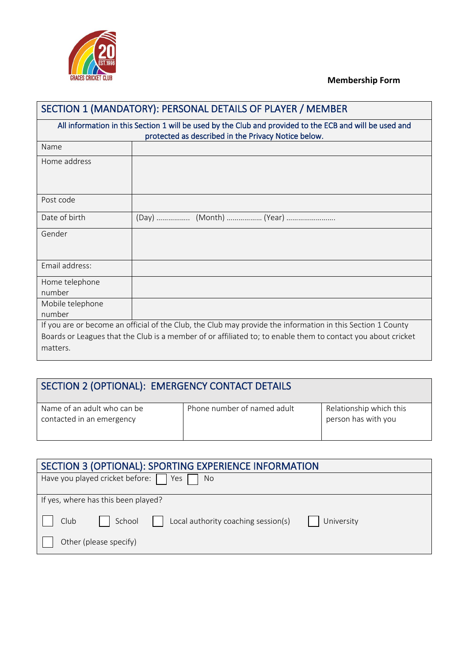

## **Membership Form**

| SECTION 1 (MANDATORY): PERSONAL DETAILS OF PLAYER / MEMBER                                                                                                                                                                              |                        |  |  |  |
|-----------------------------------------------------------------------------------------------------------------------------------------------------------------------------------------------------------------------------------------|------------------------|--|--|--|
| All information in this Section 1 will be used by the Club and provided to the ECB and will be used and<br>protected as described in the Privacy Notice below.                                                                          |                        |  |  |  |
| Name                                                                                                                                                                                                                                    |                        |  |  |  |
| Home address                                                                                                                                                                                                                            |                        |  |  |  |
| Post code                                                                                                                                                                                                                               |                        |  |  |  |
| Date of birth                                                                                                                                                                                                                           | (Day)  (Month)  (Year) |  |  |  |
| Gender                                                                                                                                                                                                                                  |                        |  |  |  |
| Email address:                                                                                                                                                                                                                          |                        |  |  |  |
| Home telephone<br>number                                                                                                                                                                                                                |                        |  |  |  |
| Mobile telephone<br>number                                                                                                                                                                                                              |                        |  |  |  |
| If you are or become an official of the Club, the Club may provide the information in this Section 1 County<br>Boards or Leagues that the Club is a member of or affiliated to; to enable them to contact you about cricket<br>matters. |                        |  |  |  |

# SECTION 2 (OPTIONAL): EMERGENCY CONTACT DETAILS

| Name of an adult who can be | Phone number of named adult | Relationship which this |
|-----------------------------|-----------------------------|-------------------------|
| contacted in an emergency   |                             | person has with you     |
|                             |                             |                         |
|                             |                             |                         |

| SECTION 3 (OPTIONAL): SPORTING EXPERIENCE INFORMATION               |  |  |  |
|---------------------------------------------------------------------|--|--|--|
| Have you played cricket before:<br>Yes  <br><b>No</b>               |  |  |  |
| If yes, where has this been played?                                 |  |  |  |
| Club<br>School<br>Local authority coaching session(s)<br>University |  |  |  |
| Other (please specify)                                              |  |  |  |